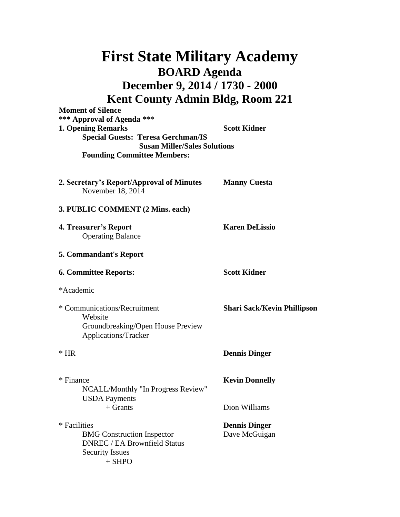| <b>First State Military Academy</b>                                                                                            |                                       |  |                                                                        |                     |
|--------------------------------------------------------------------------------------------------------------------------------|---------------------------------------|--|------------------------------------------------------------------------|---------------------|
| <b>BOARD Agenda</b><br>December 9, 2014 / 1730 - 2000<br><b>Kent County Admin Bldg, Room 221</b>                               |                                       |  |                                                                        |                     |
|                                                                                                                                |                                       |  | <b>Moment of Silence</b><br>*** Approval of Agenda ***                 |                     |
|                                                                                                                                |                                       |  | <b>1. Opening Remarks</b><br><b>Special Guests: Teresa Gerchman/IS</b> | <b>Scott Kidner</b> |
| <b>Susan Miller/Sales Solutions</b><br><b>Founding Committee Members:</b>                                                      |                                       |  |                                                                        |                     |
| 2. Secretary's Report/Approval of Minutes<br>November 18, 2014                                                                 | <b>Manny Cuesta</b>                   |  |                                                                        |                     |
| 3. PUBLIC COMMENT (2 Mins. each)                                                                                               |                                       |  |                                                                        |                     |
| 4. Treasurer's Report<br><b>Operating Balance</b>                                                                              | <b>Karen DeLissio</b>                 |  |                                                                        |                     |
| <b>5. Commandant's Report</b>                                                                                                  |                                       |  |                                                                        |                     |
| <b>6. Committee Reports:</b>                                                                                                   | <b>Scott Kidner</b>                   |  |                                                                        |                     |
| *Academic                                                                                                                      |                                       |  |                                                                        |                     |
| * Communications/Recruitment<br>Website<br>Groundbreaking/Open House Preview<br>Applications/Tracker                           | <b>Shari Sack/Kevin Phillipson</b>    |  |                                                                        |                     |
| $*$ HR                                                                                                                         | <b>Dennis Dinger</b>                  |  |                                                                        |                     |
| * Finance<br>NCALL/Monthly "In Progress Review"<br><b>USDA</b> Payments                                                        | <b>Kevin Donnelly</b>                 |  |                                                                        |                     |
| $+$ Grants                                                                                                                     | Dion Williams                         |  |                                                                        |                     |
| * Facilities<br><b>BMG</b> Construction Inspector<br><b>DNREC / EA Brownfield Status</b><br><b>Security Issues</b><br>$+$ SHPO | <b>Dennis Dinger</b><br>Dave McGuigan |  |                                                                        |                     |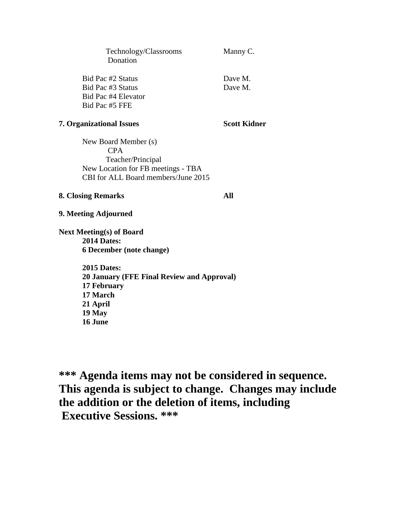| Technology/Classrooms<br>Donation                                                                                                          | Manny C.           |
|--------------------------------------------------------------------------------------------------------------------------------------------|--------------------|
| Bid Pac #2 Status<br>Bid Pac #3 Status                                                                                                     | Dave M.<br>Dave M. |
| Bid Pac #4 Elevator<br>Bid Pac #5 FFE                                                                                                      |                    |
| <b>7. Organizational Issues</b>                                                                                                            | Scott Kidner       |
| New Board Member (s)<br>CPA <sup>.</sup><br>Teacher/Principal<br>New Location for FB meetings - TBA<br>CBI for ALL Board members/June 2015 |                    |
| <b>8. Closing Remarks</b>                                                                                                                  | AII                |

**9. Meeting Adjourned**

**Next Meeting(s) of Board 2014 Dates: 6 December (note change)**

> **2015 Dates: 20 January (FFE Final Review and Approval) 17 February 17 March 21 April 19 May 16 June**

**\*\*\* Agenda items may not be considered in sequence. This agenda is subject to change. Changes may include the addition or the deletion of items, including Executive Sessions. \*\*\***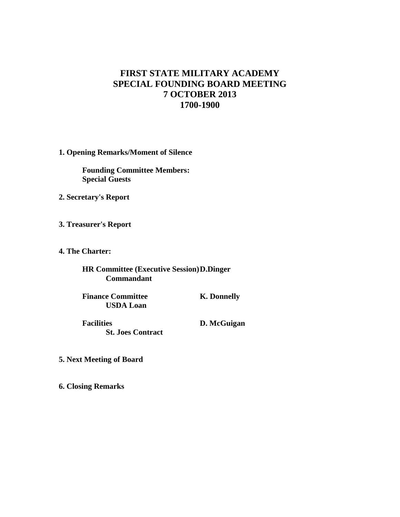## **FIRST STATE MILITARY ACADEMY SPECIAL FOUNDING BOARD MEETING 7 OCTOBER 2013 1700-1900**

**1. Opening Remarks/Moment of Silence**

**Founding Committee Members: Special Guests**

- **2. Secretary's Report**
- **3. Treasurer's Report**
- **4. The Charter:**

**HR Committee (Executive Session)D.Dinger Commandant**

**Finance Committee K. Donnelly USDA Loan**

**Facilities D. McGuigan St. Joes Contract**

- **5. Next Meeting of Board**
- **6. Closing Remarks**